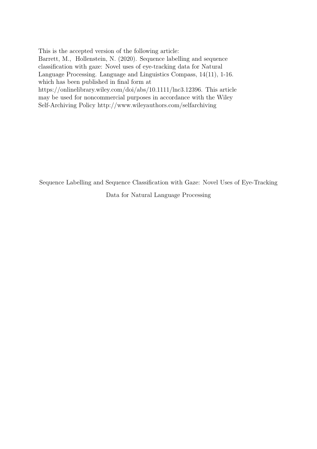This is the accepted version of the following article: Barrett, M., Hollenstein, N. (2020). Sequence labelling and sequence classification with gaze: Novel uses of eye-tracking data for Natural Language Processing. Language and Linguistics Compass, 14(11), 1-16. which has been published in final form at [https://onlinelibrary.wiley.com/doi/abs/10.1111/lnc3.12396]( https://onlinelibrary.wiley.com/doi/abs/10.1111/lnc3.12396). This article may be used for noncommercial purposes in accordance with the Wiley Self-Archiving Policy <http://www.wileyauthors.com/selfarchiving>

Sequence Labelling and Sequence Classification with Gaze: Novel Uses of Eye-Tracking

Data for Natural Language Processing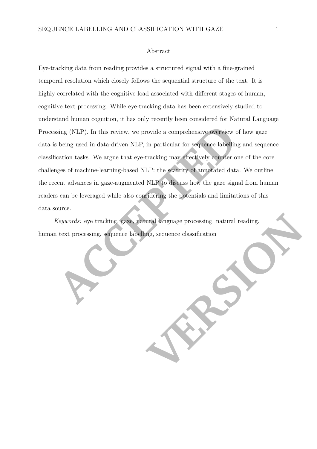#### Abstract

Sing (NLP). In this review, we provide a comprehensive overview comprehensive overview of being used in data-driven NLP, in particular for sequence labellin cation tasks. We argue that cyc-tracking may effectively counter Eye-tracking data from reading provides a structured signal with a fine-grained temporal resolution which closely follows the sequential structure of the text. It is highly correlated with the cognitive load associated with different stages of human, cognitive text processing. While eye-tracking data has been extensively studied to understand human cognition, it has only recently been considered for Natural Language Processing (NLP). In this review, we provide a comprehensive overview of how gaze data is being used in data-driven NLP, in particular for sequence labelling and sequence classification tasks. We argue that eye-tracking may effectively counter one of the core challenges of machine-learning-based NLP: the scarcity of annotated data. We outline the recent advances in gaze-augmented NLP to discuss how the gaze signal from human readers can be leveraged while also considering the potentials and limitations of this data source.

THE LINE OF CONSISTENTIAL PROPERTY AND RESPONSITIONS OF CONSISTENTIAL PROPERTY AND RESPONSITIONS OF CONSISTENTIAL PROPERTY AND RESPONSITIONS OF CONSISTENTIAL PROPERTY AND RESPONSITIONS OF CONSISTENTIAL PROPERTY AND RESPONS *Keywords:* eye tracking, gaze, natural language processing, natural reading, human text processing, sequence labelling, sequence classification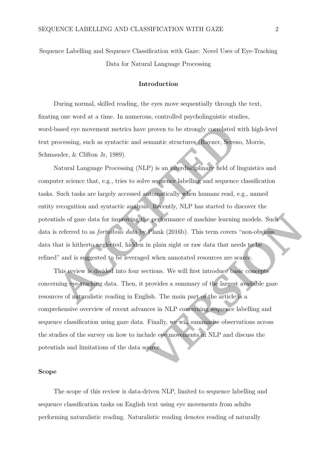Sequence Labelling and Sequence Classification with Gaze: Novel Uses of Eye-Tracking Data for Natural Language Processing

#### **Introduction**

During normal, skilled reading, the eyes move sequentially through the text, fixating one word at a time. In numerous, controlled psycholinguistic studies, word-based eye movement metrics have proven to be strongly correlated with high-level text processing, such as syntactic and semantic structures (Rayner, Sereno, Morris, Schmauder, & Clifton Jr, 1989).

assed eye movement metrics have proven to be strongly correlated with high-level<br>cocessing, such as syntactic and semantic structures (Rayner, Sereno, Morris,<br>ader, & Clifton Jr, 1989).<br>Ratural Language Processing (NLP) is Natural Language Processing (NLP) is an interdisciplinary field of linguistics and computer science that, e.g., tries to solve sequence labelling and sequence classification tasks. Such tasks are largely accessed automatically when humans read, e.g., named entity recognition and syntactic analysis. Recently, NLP has started to discover the potentials of gaze data for improving the performance of machine learning models. Such data is referred to as *fortuitous data* by Plank (2016b). This term covers "non-obvious data that is hitherto neglected, hidden in plain sight or raw data that needs to be refined" and is suggested to be leveraged when annotated resources are scarce.

This review is divided into four sections. We will first introduce basic concepts concerning eye-tracking data. Then, it provides a summary of the largest available gaze resources of naturalistic reading in English. The main part of the article is a comprehensive overview of recent advances in NLP concerning sequence labelling and sequence classification using gaze data. Finally, we will summarise observations across the studies of the survey on how to include eye movements in NLP and discuss the potentials and limitations of the data source.

# **Scope**

The scope of this review is data-driven NLP, limited to sequence labelling and sequence classification tasks on English text using eye movements from adults performing naturalistic reading. Naturalistic reading denotes reading of naturally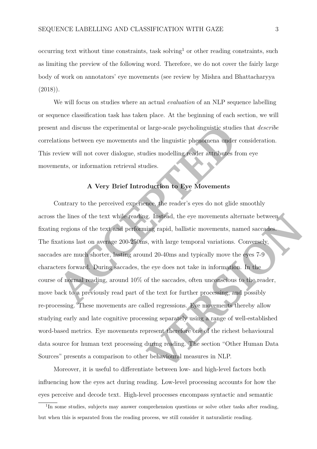occurring text without time constraints, task solving<sup>[1](#page-3-0)</sup> or other reading constraints, such as limiting the preview of the following word. Therefore, we do not cover the fairly large body of work on annotators' eye movements (see review by Mishra and Bhattacharyya  $(2018)$ .

We will focus on studies where an actual *evaluation* of an NLP sequence labelling or sequence classification task has taken place. At the beginning of each section, we will present and discuss the experimental or large-scale psycholinguistic studies that *describe* correlations between eye movements and the linguistic phenomena under consideration. This review will not cover dialogue, studies modelling reader attributes from eye movements, or information retrieval studies.

# **A Very Brief Introduction to Eye Movements**

A and discuss the experimental or large-scale psycholinguistic studies that describe<br>tions between eye movements and the linguistic phenomena under consideration.<br>
Serieve will not cover dialogue, studies modelling reader Contrary to the perceived experience, the reader's eyes do not glide smoothly across the lines of the text while reading. Instead, the eye movements alternate between fixating regions of the text and performing rapid, ballistic movements, named saccades. The fixations last on average 200-250ms, with large temporal variations. Conversely, saccades are much shorter, lasting around 20-40ms and typically move the eyes 7-9 characters forward. During saccades, the eye does not take in information. In the course of normal reading, around 10% of the saccades, often unconscious to the reader, move back to a previously read part of the text for further processing, and possibly re-processing. These movements are called regressions. Eye movements thereby allow studying early and late cognitive processing separately using a range of well-established word-based metrics. Eye movements represent therefore one of the richest behavioural data source for human text processing during reading. The section "Other Human Data Sources" presents a comparison to other behavioural measures in NLP.

Moreover, it is useful to differentiate between low- and high-level factors both influencing how the eyes act during reading. Low-level processing accounts for how the eyes perceive and decode text. High-level processes encompass syntactic and semantic

<span id="page-3-0"></span><sup>&</sup>lt;sup>1</sup>In some studies, subjects may answer comprehension questions or solve other tasks after reading, but when this is separated from the reading process, we still consider it naturalistic reading.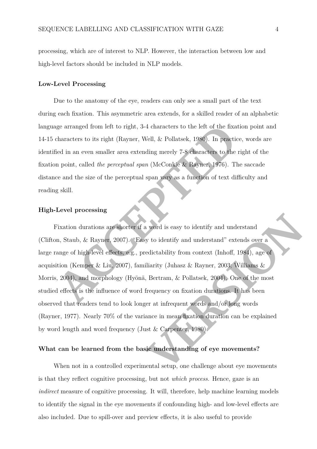processing, which are of interest to NLP. However, the interaction between low and high-level factors should be included in NLP models.

#### **Low-Level Processing**

Due to the anatomy of the eye, readers can only see a small part of the text during each fixation. This asymmetric area extends, for a skilled reader of an alphabetic language arranged from left to right, 3-4 characters to the left of the fixation point and 14-15 characters to its right (Rayner, Well, & Pollatsek, 1980). In practice, words are identified in an even smaller area extending merely 7-8 characters to the right of the fixation point, called *the perceptual span* (McConkie & Rayner, 1976). The saccade distance and the size of the perceptual span vary as a function of text difficulty and reading skill.

# **High-Level processing**

ge arranged from left to right, 3-4 characters to the left of the fixation point and characters to its right (Rayner, Well, & Pollatsek, 1980). In precise, words are eicd in an even smaller area extending merely 7-8 chara Fixation durations are shorter if a word is easy to identify and understand (Clifton, Staub, & Rayner, 2007). "Easy to identify and understand" extends over a large range of high-level effects, e.g., predictability from context (Inhoff, 1984), age of acquisition (Kemper & Liu, 2007), familiarity (Juhasz & Rayner, 2003; Williams & Morris, 2004), and morphology (Hyönä, Bertram, & Pollatsek, 2004). One of the most studied effects is the influence of word frequency on fixation durations. It has been observed that readers tend to look longer at infrequent words and/or long words (Rayner, [1977\)](#page-24-3). Nearly 70% of the variance in mean fixation duration can be explained by word length and word frequency (Just & Carpenter, 1980).

# **What can be learned from the basic understanding of eye movements?**

When not in a controlled experimental setup, one challenge about eye movements is that they reflect cognitive processing, but not *which process*. Hence, gaze is an *indirect* measure of cognitive processing. It will, therefore, help machine learning models to identify the signal in the eye movements if confounding high- and low-level effects are also included. Due to spill-over and preview effects, it is also useful to provide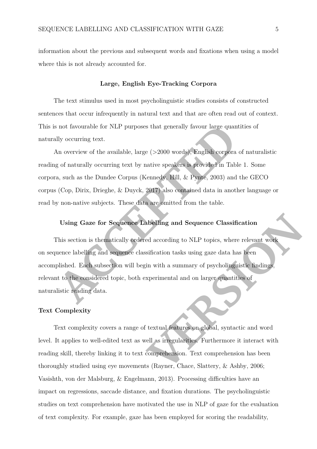information about the previous and subsequent words and fixations when using a model where this is not already accounted for.

#### **Large, English Eye-Tracking Corpora**

The text stimulus used in most psycholinguistic studies consists of constructed sentences that occur infrequently in natural text and that are often read out of context. This is not favourable for NLP purposes that generally favour large quantities of naturally occurring text.

An overview of the available, large (>2000 words), English corpora of naturalistic reading of naturally occurring text by native speakers is provided in Table [1.](#page-27-0) Some corpora, such as the Dundee Corpus (Kennedy, Hill, & Pynte, 2003) and the GECO corpus (Cop, Dirix, Drieghe, & Duyck, 2017) also contained data in another language or read by non-native subjects. These data are omitted from the table.

# **Using Gaze for Sequence Labelling and Sequence Classification**

**ACC[E](#page-21-3)D** is not favourable for NLP purposes that generally favour large quantities of<br>thy occurring text.<br>An overview of the available, large (>2000 words). English corpora of naturalistic<br>of of naturally occurring text by This section is thematically ordered according to NLP topics, where relevant work on sequence labelling and sequence classification tasks using gaze data has been accomplished. Each subsection will begin with a summary of psycholinguistic findings, relevant to the considered topic, both experimental and on larger quantities of naturalistic reading data.

### **Text Complexity**

Text complexity covers a range of textual features on global, syntactic and word level. It applies to well-edited text as well as irregularities. Furthermore it interact with reading skill, thereby linking it to text comprehension. Text comprehension has been thoroughly studied using eye movements (Rayner, Chace, Slattery, & Ashby, 2006; Vasishth, von der Malsburg, & Engelmann, [2013\)](#page-26-1). Processing difficulties have an impact on regressions, saccade distance, and fixation durations. The psycholinguistic studies on text comprehension have motivated the use in NLP of gaze for the evaluation of text complexity. For example, gaze has been employed for scoring the readability,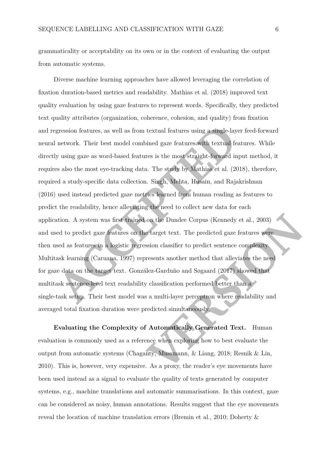grammaticality or acceptability on its own or in the context of evaluating the output from automatic systems.

gression features, as well as from textual features using a single-layer feed-forward<br>network. Their best model combined gaze features softh rextual features. While<br>y using gaze as word-based features is the most straight-Diverse machine learning approaches have allowed leveraging the correlation of fixation duration-based metrics and readability. Mathias et al. [\(2018\)](#page-22-2) improved text quality evaluation by using gaze features to represent words. Specifically, they predicted text quality attributes (organization, coherence, cohesion, and quality) from fixation and regression features, as well as from textual features using a single-layer feed-forward neural network. Their best model combined gaze features with textual features. While directly using gaze as word-based features is the most straight-forward input method, it requires also the most eye-tracking data. The study by Mathias et al. [\(2018\)](#page-22-2), therefore, required a study-specific data collection. Singh, Mehta, Husain, and Rajakrishnan [\(2016\)](#page-25-0) used instead predicted gaze metrics learned from human reading as features to predict the readability, hence alleviating the need to collect new data for each application. A system was first trained on the Dundee Corpus (Kennedy et al., 2003) and used to predict gaze features on the target text. The predicted gaze features were then used as features in a logistic regression classifier to predict sentence complexity. Multitask learning (Caruana, 1997) represents another method that alleviates the need for gaze data on the target text. González-Garduño and Søgaard (2017) showed that multitask sentence-level text readability classification performed better than a single-task setup. Their best model was a multi-layer perceptron where readability and averaged total fixation duration were predicted simultaneously.

**Evaluating the Complexity of Automatically Generated Text.** Human evaluation is commonly used as a reference when exploring how to best evaluate the output from automatic systems (Chaganty, Mussmann, & Liang, 2018; Resnik & Lin, [2010\)](#page-24-5). This is, however, very expensive. As a proxy, the reader's eye movements have been used instead as a signal to evaluate the quality of texts generated by computer systems, e.g., machine translations and automatic summarisations. In this context, gaze can be considered as noisy, human annotations. Results suggest that the eye movements reveal the location of machine translation errors (Bremin et al., [2010;](#page-19-4) Doherty &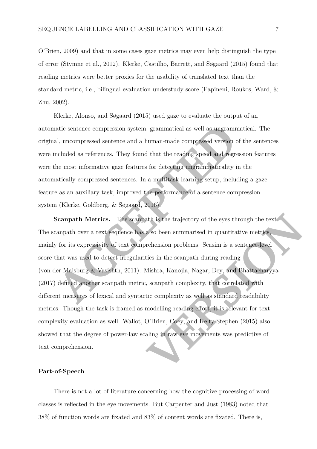O'Brien, [2009\)](#page-19-5) and that in some cases gaze metrics may even help distinguish the type of error (Stymne et al., [2012\)](#page-25-1). Klerke, Castilho, Barrett, and Søgaard [\(2015\)](#page-21-4) found that reading metrics were better proxies for the usability of translated text than the standard metric, i.e., bilingual evaluation understudy score (Papineni, Roukos, Ward, & Zhu, [2002\)](#page-23-0).

Klerke, Alonso, and Søgaard [\(2015\)](#page-21-5) used gaze to evaluate the output of an automatic sentence compression system; grammatical as well as ungrammatical. The original, uncompressed sentence and a human-made compressed version of the sentences were included as references. They found that the reading speed and regression features were the most informative gaze features for detecting ungrammaticality in the automatically compressed sentences. In a multitask learning setup, including a gaze feature as an auxiliary task, improved the performance of a sentence compression system (Klerke, Goldberg, & Søgaard, 2016).

atic sentence compression system; grammatical as well as ungrammatical. The d, uncompressed sentence and a human-made compressed version of the sentences related as references. They found that the reading speed and regress **Scanpath Metrics.** The scanpath is the trajectory of the eyes through the text. The scanpath over a text sequence has also been summarised in quantitative metrics, mainly for its expressivity of text comprehension problems. Scasim is a sentence-level score that was used to detect irregularities in the scanpath during reading (von der Malsburg & Vasishth, 2011). Mishra, Kanojia, Nagar, Dey, and Bhattacharyya [\(2017\)](#page-23-1) defined another scanpath metric, scanpath complexity, that correlated with different measures of lexical and syntactic complexity as well as standard readability metrics. Though the task is framed as modelling reading effort, it is relevant for text complexity evaluation as well. Wallot, O'Brien, Coey, and Kelty-Stephen (2015) also showed that the degree of power-law scaling in raw eye movements was predictive of text comprehension.

# **Part-of-Speech**

There is not a lot of literature concerning how the cognitive processing of word classes is reflected in the eye movements. But Carpenter and Just [\(1983\)](#page-19-6) noted that 38% of function words are fixated and 83% of content words are fixated. There is,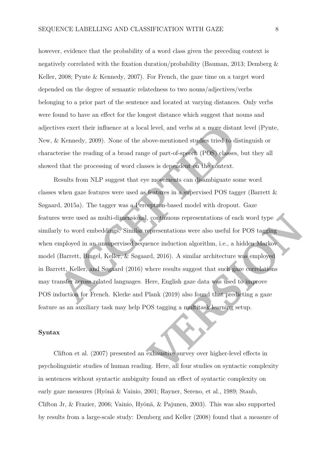however, evidence that the probability of a word class given the preceding context is negatively correlated with the fixation duration/probability (Bauman, [2013;](#page-18-0) Demberg & Keller, [2008;](#page-19-7) Pynte & Kennedy, [2007\)](#page-24-6). For French, the gaze time on a target word depended on the degree of semantic relatedness to two nouns/adjectives/verbs belonging to a prior part of the sentence and located at varying distances. Only verbs were found to have an effect for the longest distance which suggest that nouns and adjectives exert their influence at a local level, and verbs at a more distant level (Pynte, New, & Kennedy, 2009). None of the above-mentioned studies tried to distinguish or characterise the reading of a broad range of part-of-speech (POS) classes, but they all showed that the processing of word classes is dependent on the context.

ves excert their influence at a local level, and verbs at a more distant level (Pynte,<br>  $\kappa$  Kennedy, 2009). None of the above-mentioned studies tried to distinguish or<br>
terrise the reading of a broad range of part-of-spe Results from NLP suggest that eye movements can disambiguate some word classes when gaze features were used as features in a supervised POS tagger (Barrett & Søgaard, 2015a). The tagger was a Perceptron-based model with dropout. Gaze features were used as multi-dimensional, continuous representations of each word type similarly to word embeddings. Similar representations were also useful for POS tagging when employed in an unsupervised sequence induction algorithm, i.e., a hidden Markov model (Barrett, Bingel, Keller, & Søgaard, 2016). A similar architecture was employed in Barrett, Keller, and Søgaard (2016) where results suggest that such gaze correlations may transfer across related languages. Here, English gaze data was used to improve POS induction for French. Klerke and Plank (2019) also found that predicting a gaze feature as an auxiliary task may help POS tagging a multitask learning setup.

# **Syntax**

Clifton et al. [\(2007\)](#page-19-0) presented an exhaustive survey over higher-level effects in psycholinguistic studies of human reading. Here, all four studies on syntactic complexity in sentences without syntactic ambiguity found an effect of syntactic complexity on early gaze measures (Hyönä & Vainio, [2001;](#page-20-3) Rayner, Sereno, et al., [1989;](#page-24-0) Staub, Clifton Jr, & Frazier, [2006;](#page-25-2) Vainio, Hyönä, & Pajunen, [2003\)](#page-26-3). This was also supported by results from a large-scale study: Demberg and Keller [\(2008\)](#page-19-7) found that a measure of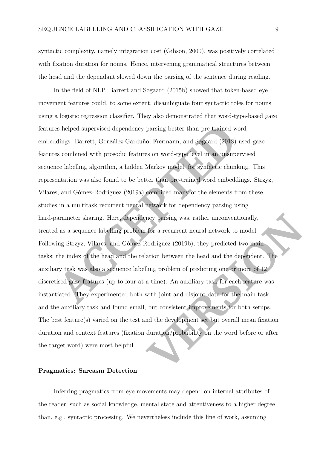syntactic complexity, namely integration cost (Gibson, [2000\)](#page-20-4), was positively correlated with fixation duration for nouns. Hence, intervening grammatical structures between the head and the dependant slowed down the parsing of the sentence during reading.

**Example 18 and 18 and 20** and 20 and 20 and 20 and 20 and 20 and 20 and 20 and 20 and 20 and 20 and 20 and 20 and 20 and 20 and 30 and 30 and 30 and 30 and 30 and 30 and 30 and 30 and 30 and 20 and 20 and 20 and 20 and 20 In the field of NLP, Barrett and Søgaard [\(2015b\)](#page-18-4) showed that token-based eye movement features could, to some extent, disambiguate four syntactic roles for nouns using a logistic regression classifier. They also demonstrated that word-type-based gaze features helped supervised dependency parsing better than pre-trained word embeddings. Barrett, González-Garduño, Frermann, and Søgaard (2018) used gaze features combined with prosodic features on word-type level in an unsupervised sequence labelling algorithm, a hidden Markov model, for syntactic chunking. This representation was also found to be better than pre-trained word embeddings. Strzyz, Vilares, and Gómez-Rodríguez (2019a) combined many of the elements from these studies in a multitask recurrent neural network for dependency parsing using hard-parameter sharing. Here, dependency parsing was, rather unconventionally, treated as a sequence labelling problem for a recurrent neural network to model. Following Strzyz, Vilares, and Gómez-Rodríguez (2019b), they predicted two main tasks; the index of the head and the relation between the head and the dependent. The auxiliary task was also a sequence labelling problem of predicting one or more of 12 discretised gaze features (up to four at a time). An auxiliary task for each feature was instantiated. They experimented both with joint and disjoint data for the main task and the auxiliary task and found small, but consistent improvements for both setups. The best feature(s) varied on the test and the development set but overall mean fixation duration and context features (fixation duration/probability on the word before or after the target word) were most helpful.

#### **Pragmatics: Sarcasm Detection**

Inferring pragmatics from eye movements may depend on internal attributes of the reader, such as social knowledge, mental state and attentiveness to a higher degree than, e.g., syntactic processing. We nevertheless include this line of work, assuming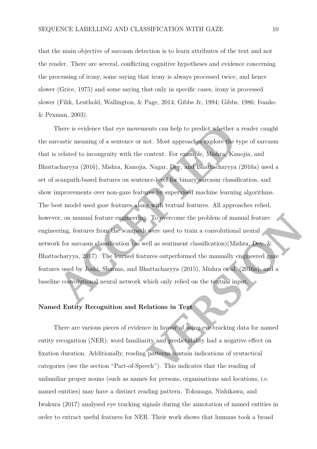that the main objective of sarcasm detection is to learn attributes of the text and not the reader. There are several, conflicting cognitive hypotheses and evidence concerning the processing of irony, some saying that irony is always processed twice, and hence slower (Grice, [1975\)](#page-20-5) and some saying that only in specific cases, irony is processed slower (Filik, Leuthold, Wallington, & Page, [2014;](#page-20-6) Gibbs Jr, [1994;](#page-20-7) Gibbs, [1986;](#page-20-8) Ivanko & Pexman, [2003\)](#page-21-6).

There is evidence that eye movements can help to predict whether a reader canght reastic meaning of a sentence or not. Most approaches explore the type of sarcasm related to incongruity with the context. For example, Mishr There is evidence that eye movements can help to predict whether a reader caught the sarcastic meaning of a sentence or not. Most approaches explore the type of sarcasm that is related to incongruity with the context. For example, Mishra, Kanojia, and Bhattacharyya (2016), Mishra, Kanojia, Nagar, Dey, and Bhattacharyya [\(2016a\)](#page-23-3) used a set of scanpath-based features on sentence-level for binary sarcasm classification, and show improvements over non-gaze features by supervised machine learning algorithms. The best model used gaze features along with textual features. All approaches relied, however, on manual feature engineering. To overcome the problem of manual feature engineering, features from the scanpath were used to train a convolutional neural network for sarcasm classification (as well as sentiment classification)(Mishra, Dey, & Bhattacharyya, 2017). The learned features outperformed the manually engineered gaze features used by Joshi, Sharma, and Bhattacharyya (2015), Mishra et al. (2016a), and a baseline convolutional neural network which only relied on the textual input.

# **Named Entity Recognition and Relations in Text**

There are various pieces of evidence in favour of using eye-tracking data for named entity recognition (NER): word familiarity and predictability had a negative effect on fixation duration. Additionally, reading patterns contain indications of syntactical categories (see the section "Part-of-Speech"). This indicates that the reading of unfamiliar proper nouns (such as names for persons, organisations and locations, i.e. named entities) may have a distinct reading pattern. Tokunaga, Nishikawa, and Iwakura [\(2017\)](#page-25-5) analysed eye tracking signals during the annotation of named entities in order to extract useful features for NER. Their work shows that humans took a broad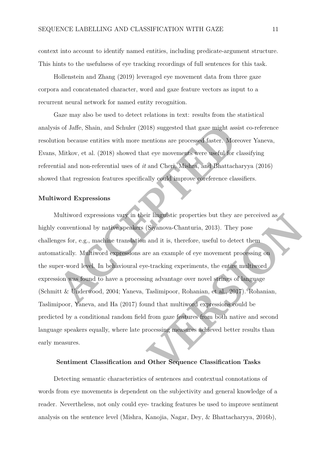context into account to identify named entities, including predicate-argument structure. This hints to the usefulness of eye tracking recordings of full sentences for this task.

Hollenstein and Zhang [\(2019\)](#page-20-9) leveraged eye movement data from three gaze corpora and concatenated character, word and gaze feature vectors as input to a recurrent neural network for named entity recognition.

Gaze may also be used to detect relations in text: results from the statistical analysis of Jaffe, Shain, and Schuler (2018) suggested that gaze might assist co-reference resolution because entities with more mentions are processed faster. Moreover Yaneva, Evans, Mitkov, et al. (2018) showed that eye movements were useful for classifying referential and non-referential uses of *it* and Cheri, Mishra, and Bhattacharyya [\(2016\)](#page-19-8) showed that regression features specifically could improve coreference classifiers.

# **Multiword Expressions**

is of Jaffe, Shain, and Schuler (2018) suggested that gaze might assist co-reference for because entities with more mentions are processed faster. Moreover Yaneva, Mitkov, et al. (2018) showed that eye movements were webti Multiword expressions vary in their linguistic properties but they are perceived as highly conventional by native speakers (Siyanova-Chanturia, 2013). They pose challenges for, e.g., machine translation and it is, therefore, useful to detect them automatically. Multiword expressions are an example of eye movement processing on the super-word level. In behavioural eye-tracking experiments, the entire multiword expression was found to have a processing advantage over novel strings of language (Schmitt & Underwood, 2004; Yaneva, Taslimipoor, Rohanian, et al., 2017). Rohanian, Taslimipoor, Yaneva, and Ha [\(2017\)](#page-24-8) found that multiword expressions could be predicted by a conditional random field from gaze features from both native and second language speakers equally, where late processing measures achieved better results than early measures.

# **Sentiment Classification and Other Sequence Classification Tasks**

Detecting semantic characteristics of sentences and contextual connotations of words from eye movements is dependent on the subjectivity and general knowledge of a reader. Nevertheless, not only could eye- tracking features be used to improve sentiment analysis on the sentence level (Mishra, Kanojia, Nagar, Dey, & Bhattacharyya, [2016b\)](#page-23-4),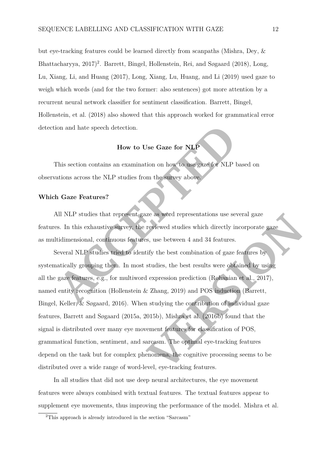but eye-tracking features could be learned directly from scanpaths (Mishra, Dey, & Bhattacharyya, [2017\)](#page-22-6) [2](#page-12-0) . Barrett, Bingel, Hollenstein, Rei, and Søgaard [\(2018\)](#page-18-6), Long, Lu, Xiang, Li, and Huang [\(2017\)](#page-22-7), Long, Xiang, Lu, Huang, and Li [\(2019\)](#page-22-8) used gaze to weigh which words (and for the two former: also sentences) got more attention by a recurrent neural network classifier for sentiment classification. Barrett, Bingel, Hollenstein, et al. [\(2018\)](#page-18-6) also showed that this approach worked for grammatical error detection and hate speech detection.

# **How to Use Gaze for NLP**

This section contains an examination on how to use gaze for NLP based on observations across the NLP studies from the survey above.

# **Which Gaze Features?**

All NLP studies that represent gaze as word representations use several gaze features. In this exhaustive survey, the reviewed studies which directly incorporate gaze as multidimensional, continuous features, use between 4 and 34 features.

Final state speech detection.<br> **How to Use Gaze for NLP**<br> **ACCEPTE TELP**<br> **ACCEPTE TELP**<br> **ACCEPTE TELP**<br> **ACCEPTE TELP**<br> **ACCEPTE TELP**<br> **ACCEPTE TELP**<br> **ACCEPTE TELP**<br> **ACCEPTE TELP**<br> **ACCEPTE TELP**<br> **ACCEPTE TELP**<br> **AC** Several NLP studies tried to identify the best combination of gaze features by systematically grouping them. In most studies, the best results were obtained by using all the gaze features, e.g., for multiword expression prediction (Rohanian et al., 2017), named entity recognition (Hollenstein & Zhang, 2019) and POS induction (Barrett, Bingel, Keller, & Søgaard, [2016\)](#page-18-2). When studying the contribution of individual gaze features, Barrett and Søgaard [\(2015a,](#page-18-1) [2015b\)](#page-18-4), Mishra et al. (2016b) found that the signal is distributed over many eye movement features for classification of POS, grammatical function, sentiment, and sarcasm. The optimal eye-tracking features depend on the task but for complex phenomena, the cognitive processing seems to be distributed over a wide range of word-level, eye-tracking features.

In all studies that did not use deep neural architectures, the eye movement features were always combined with textual features. The textual features appear to supplement eye movements, thus improving the performance of the model. Mishra et al.

<span id="page-12-0"></span><sup>2</sup>This approach is already introduced in the section "Sarcasm"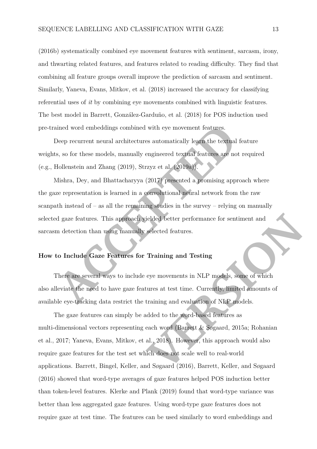[\(2016b\)](#page-23-4) systematically combined eye movement features with sentiment, sarcasm, irony, and thwarting related features, and features related to reading difficulty. They find that combining all feature groups overall improve the prediction of sarcasm and sentiment. Similarly, Yaneva, Evans, Mitkov, et al. [\(2018\)](#page-26-4) increased the accuracy for classifying referential uses of *it* by combining eye movements combined with linguistic features. The best model in Barrett, González-Garduño, et al. [\(2018\)](#page-18-5) for POS induction used pre-trained word embeddings combined with eye movement features.

Deep recurrent neural architectures automatically learn the textual feature weights, so for these models, manually engineered textual features are not required (e.g., Hollenstein and Zhang  $(2019)$ , Strzyz et al.  $(2019a)$ ).

Mishra, Dey, and Bhattacharyya (2017) presented a promising approach where the gaze representation is learned in a convolutional neural network from the raw scanpath instead of  $-$  as all the remaining studies in the survey  $-$  relying on manually selected gaze features. This approach yielded better performance for sentiment and sarcasm detection than using manually selected features.

# **How to Include Gaze Features for Training and Testing**

There are several ways to include eye movements in NLP models, some of which also alleviate the need to have gaze features at test time. Currently, limited amounts of available eye-tracking data restrict the training and evaluation of NLP models.

The device of embeddings combined with eye movement features.<br>
Accep recurrent neural architectures automatically legra the textual feature<br>
8, so for these models, manually engineered textual cadings are not required<br>
Iol The gaze features can simply be added to the word-based features as multi-dimensional vectors representing each word (Barrett & Søgaard, 2015a; Rohanian et al., [2017;](#page-24-8) Yaneva, Evans, Mitkov, et al., 2018). However, this approach would also require gaze features for the test set which does not scale well to real-world applications. Barrett, Bingel, Keller, and Søgaard (2016), Barrett, Keller, and Søgaard [\(2016\)](#page-18-3) showed that word-type averages of gaze features helped POS induction better than token-level features. Klerke and Plank [\(2019\)](#page-22-5) found that word-type variance was better than less aggregated gaze features. Using word-type gaze features does not require gaze at test time. The features can be used similarly to word embeddings and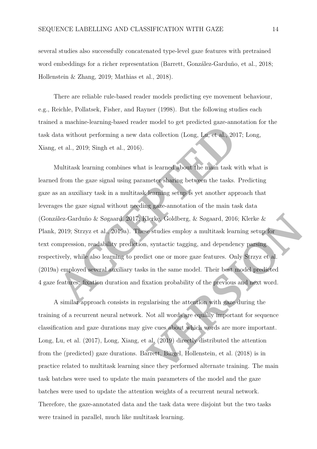several studies also successfully concatenated type-level gaze features with pretrained word embeddings for a richer representation (Barrett, González-Garduño, et al., [2018;](#page-18-5) Hollenstein & Zhang, [2019;](#page-20-9) Mathias et al., [2018\)](#page-22-2).

There are reliable rule-based reader models predicting eye movement behaviour, e.g., Reichle, Pollatsek, Fisher, and Rayner [\(1998\)](#page-24-9). But the following studies each trained a machine-learning-based reader model to get predicted gaze-annotation for the task data without performing a new data collection (Long, Lu, et al., [2017;](#page-22-7) Long, Xiang, et al., 2019; Singh et al., 2016).

**A[C](#page-25-3)CONDUCT ACCONDUCT** (Long, Lat. et al. 2017; Long, et al. 2019; Singh et al., 2010;<br>
According a new data collection (Long, Lat. et al. 2017; Long,<br>
Actual 2019; Singh et al., 2016).<br>
Antitizative locating combines what Multitask learning combines what is learned about the main task with what is learned from the gaze signal using parameter sharing between the tasks. Predicting gaze as an auxiliary task in a multitask learning setup is yet another approach that leverages the gaze signal without needing gaze-annotation of the main task data (González-Garduño & Søgaard, 2017; Klerke, Goldberg, & Søgaard, 2016; Klerke & Plank, 2019; Strzyz et al., 2019a). These studies employ a multitask learning setup for text compression, readability prediction, syntactic tagging, and dependency parsing respectively, while also learning to predict one or more gaze features. Only Strzyz et al. [\(2019a\)](#page-25-3) employed several auxiliary tasks in the same model. Their best model predicted 4 gaze features: fixation duration and fixation probability of the previous and next word.

A similar approach consists in regularising the attention with gaze during the training of a recurrent neural network. Not all words are equally important for sequence classification and gaze durations may give cues about which words are more important. Long, Lu, et al. [\(2017\)](#page-22-7), Long, Xiang, et al. (2019) directly distributed the attention from the (predicted) gaze durations. Barrett, Bingel, Hollenstein, et al. (2018) is in practice related to multitask learning since they performed alternate training. The main task batches were used to update the main parameters of the model and the gaze batches were used to update the attention weights of a recurrent neural network. Therefore, the gaze-annotated data and the task data were disjoint but the two tasks were trained in parallel, much like multitask learning.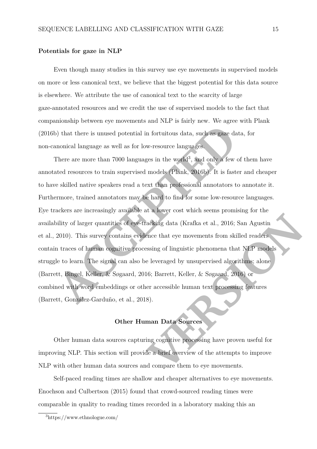# **Potentials for gaze in NLP**

Even though many studies in this survey use eye movements in supervised models on more or less canonical text, we believe that the biggest potential for this data source is elsewhere. We attribute the use of canonical text to the scarcity of large gaze-annotated resources and we credit the use of supervised models to the fact that companionship between eye movements and NLP is fairly new. We agree with Plank [\(2016b\)](#page-24-1) that there is unused potential in fortuitous data, such as gaze data, for non-canonical language as well as for low-resource languages.

Fractrical in forturions data, such as ease data, for monical language as well as for low-resource languages.<br>There are more than 7000 languages in the world<sup>3</sup>, and only a few of them have tred resources to train supervis There are more than 7000 languages in the world<sup>3</sup>, and only a few of them have annotated resources to train supervised models (Plank, 2016b). It is faster and cheaper to have skilled native speakers read a text than professional annotators to annotate it. Furthermore, trained annotators may be hard to find for some low-resource languages. Eye trackers are increasingly available at a lower cost which seems promising for the availability of larger quantities of eye-tracking data (Krafka et al., 2016; San Agustin et al., 2010). This survey contains evidence that eye movements from skilled readers contain traces of human cognitive processing of linguistic phenomena that NLP models struggle to learn. The signal can also be leveraged by unsupervised algorithms; alone (Barrett, Bingel, Keller, & Søgaard, 2016; Barrett, Keller, & Søgaard, 2016) or combined with word embeddings or other accessible human text processing features (Barrett, González-Garduño, et al., 2018).

# **Other Human Data Sources**

Other human data sources capturing cognitive processing have proven useful for improving NLP. This section will provide a brief overview of the attempts to improve NLP with other human data sources and compare them to eye movements.

Self-paced reading times are shallow and cheaper alternatives to eye movements. Enochson and Culbertson [\(2015\)](#page-19-9) found that crowd-sourced reading times were comparable in quality to reading times recorded in a laboratory making this an

<span id="page-15-0"></span><sup>3</sup>https://www.ethnologue.com/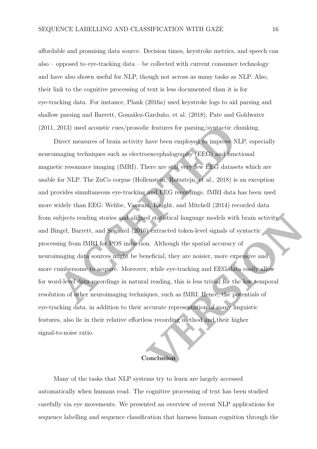affordable and promising data source. Decision times, keystroke metrics, and speech can also – opposed to eye-tracking data – be collected with current consumer technology and have also shown useful for NLP, though not across as many tasks as NLP. Also, their link to the cognitive processing of text is less documented than it is for eye-tracking data. For instance, Plank [\(2016a\)](#page-23-5) used keystroke logs to aid parsing and shallow parsing and Barrett, González-Garduño, et al. [\(2018\)](#page-18-5), Pate and Goldwater [\(2011,](#page-23-6) 2013) used acoustic cues/prosodic features for parsing/syntactic chunking.

2013) used accoustic cues/prosedic features for parsing/syntactic chunking.<br>2013) used accoustic cuesures of brain activity have been employed to improve NLP, especially<br>maging techniques such as electroencephalography (EE Direct measures of brain activity have been employed to improve NLP, especially neuroimaging techniques such as electroencephalography (EEG) and functional magnetic resonance imaging (fMRI). There are still very few EEG datasets which are usable for NLP. The ZuCo corpus (Hollenstein, Rotsztejn, et al., 2018) is an exception and provides simultaneous eye-tracking and EEG recordings. fMRI data has been used more widely than EEG: Wehbe, Vaswani, Knight, and Mitchell (2014) recorded data from subjects reading stories and aligned statistical language models with brain activity and Bingel, Barrett, and Søgaard (2016) extracted token-level signals of syntactic processing from fMRI for POS induction. Although the spatial accuracy of neuroimaging data sources might be beneficial, they are noisier, more expensive and more cumbersome to acquire. Moreover, while eye-tracking and EEG data easily allow for word-level data recordings in natural reading, this is less trivial for the low temporal resolution of other neuroimaging techniques, such as fMRI. Hence, the potentials of eye-tracking data, in addition to their accurate representation of many linguistic features, also lie in their relative effortless recording method and their higher signal-to-noise ratio.

# **Conclusion**

Many of the tasks that NLP systems try to learn are largely accessed automatically when humans read. The cognitive processing of text has been studied carefully via eye movements. We presented an overview of recent NLP applications for sequence labelling and sequence classification that harness human cognition through the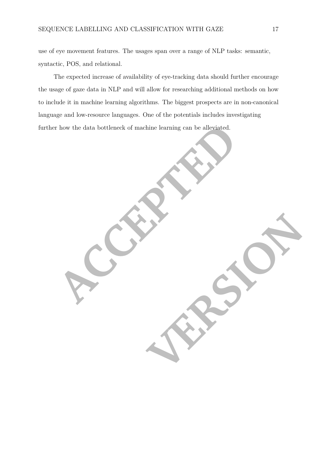use of eye movement features. The usages span over a range of NLP tasks: semantic, syntactic, POS, and relational.

The expected increase of availability of eye-tracking data should further encourage the usage of gaze data in NLP and will allow for researching additional methods on how to include it in machine learning algorithms. The biggest prospects are in non-canonical language and low-resource languages. One of the potentials includes investigating further how the data bottleneck of machine learning can be alleviated.

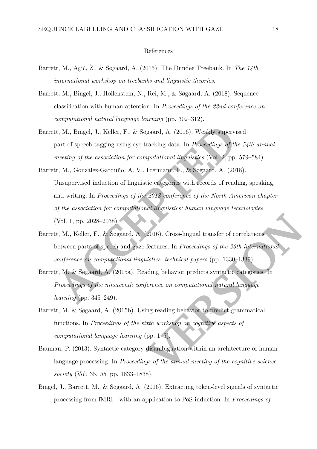## References

- <span id="page-18-8"></span>Barrett, M., Agić, Ž., & Søgaard, A. (2015). The Dundee Treebank. In *The 14th international workshop on treebanks and linguistic theories*.
- <span id="page-18-6"></span>Barrett, M., Bingel, J., Hollenstein, N., Rei, M., & Søgaard, A. (2018). Sequence classification with human attention. In *Proceedings of the 22nd conference on computational natural language learning* (pp. 302–312).
- <span id="page-18-5"></span>Barrett, M., Bingel, J., Keller, F., & Søgaard, A. (2016). Weakly supervised part-of-speech tagging using eye-tracking data. In *Proceedings of the 54th annual meeting of the association for computational linguistics* (Vol. 2, pp. 579–584).
- <span id="page-18-2"></span>**A.** M., Bingel, J., Keller, F., & Segaard, A. (2016). Wealthy supervised<br>vart-of-speech tagging using cyc-tracking data. In *Proceedings of the 54th annual*<br>necting of the association for computational biographics (Yol. 2 Barrett, M., González-Garduño, A. V., Frermann, L., & Søgaard, A. (2018). Unsupervised induction of linguistic categories with records of reading, speaking, and writing. In *Proceedings of the 2018 conference of the North American chapter of the association for computational linguistics: human language technologies* (Vol. 1, pp. 2028–2038).
- <span id="page-18-3"></span>Barrett, M., Keller, F., & Søgaard, A. (2016). Cross-lingual transfer of correlations between parts of speech and gaze features. In *Proceedings of the 26th international conference on computational linguistics: technical papers* (pp. 1330–1339).
- <span id="page-18-1"></span>Barrett, M. & Søgaard, A. (2015a). Reading behavior predicts syntactic categories. In *Proceedings of the nineteenth conference on computational natural language learning* (pp. 345–249).
- <span id="page-18-4"></span>Barrett, M. & Søgaard, A. (2015b). Using reading behavior to predict grammatical functions. In *Proceedings of the sixth workshop on cognitive aspects of computational language learning* (pp. 1–5).
- <span id="page-18-0"></span>Bauman, P. (2013). Syntactic category disambiguation within an architecture of human language processing. In *Proceedings of the annual meeting of the cognitive science society* (Vol. 35, *35*, pp. 1833–1838).
- <span id="page-18-7"></span>Bingel, J., Barrett, M., & Søgaard, A. (2016). Extracting token-level signals of syntactic processing from fMRI - with an application to PoS induction. In *Proceedings of*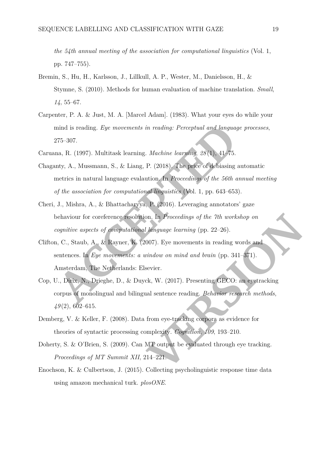*the 54th annual meeting of the association for computational linguistics* (Vol. 1, pp. 747–755).

- <span id="page-19-4"></span>Bremin, S., Hu, H., Karlsson, J., Lillkull, A. P., Wester, M., Danielsson, H., & Stymne, S. (2010). Methods for human evaluation of machine translation. *Small*, *14*, 55–67.
- <span id="page-19-6"></span>Carpenter, P. A. & Just, M. A. [Marcel Adam]. (1983). What your eyes do while your mind is reading. *Eye movements in reading: Perceptual and language processes*, 275–307.
- <span id="page-19-3"></span><span id="page-19-2"></span>Caruana, R. (1997). Multitask learning. *Machine learning*, *28* (1), 41–75.
- ind is reading. *Eye movements in reading: Perceptual and languag*<br>
275-307.<br>
Ana, R. (1997). Multitask learning. *Machine learning*, 28(1), 41-75.<br>
Inty, A., Mussmann, S., & Liang, P. (2018). The price of debiasing<br>
metri Chaganty, A., Mussmann, S., & Liang, P. (2018). The price of debiasing automatic metrics in natural language evalaution. In *Proceedings of the 56th annual meeting of the association for computational linguistics* (Vol. 1, pp. 643–653).
- <span id="page-19-8"></span>Cheri, J., Mishra, A., & Bhattacharyya, P. (2016). Leveraging annotators' gaze behaviour for coreference resolution. In *Proceedings of the 7th workshop on cognitive aspects of computational language learning* (pp. 22–26).
- <span id="page-19-1"></span><span id="page-19-0"></span>Clifton, C., Staub, A., & Rayner, K. (2007). Eye movements in reading words and sentences. In *Eye movements: a window on mind and brain* (pp. 341–371). Amsterdam, The Netherlands: Elsevier.
- on. In *Proceedings of the 7th workshop on*<br> *Vanguage learning* (pp. 22–26).<br>
007). Eye movements in reading words and<br>
vindow on mind and brain (pp. 341–371).<br>
Sevier.<br>
ck, W. (2017). Presenting GECO: an eyetracking<br>
all Cop, U., Dirix, N., Drieghe, D., & Duyck, W. (2017). Presenting GECO: an eyetracking corpus of monolingual and bilingual sentence reading. *Behavior research methods*, *49* (2), 602–615.
- <span id="page-19-7"></span>Demberg, V. & Keller, F. (2008). Data from eye-tracking corpora as evidence for theories of syntactic processing complexity. *Cognition*, *109*, 193–210.
- <span id="page-19-5"></span>Doherty, S. & O'Brien, S. (2009). Can MT output be evaluated through eye tracking. *Proceedings of MT Summit XII*, 214–221.
- <span id="page-19-9"></span>Enochson, K. & Culbertson, J. (2015). Collecting psycholinguistic response time data using amazon mechanical turk. *plosONE*.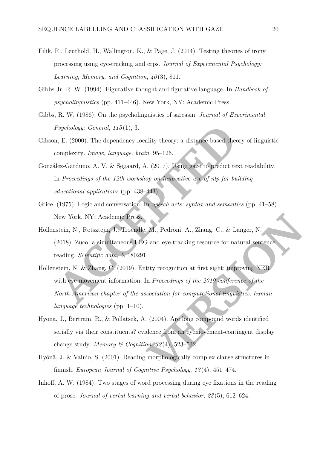- <span id="page-20-6"></span>Filik, R., Leuthold, H., Wallington, K., & Page, J. (2014). Testing theories of irony processing using eye-tracking and erps. *Journal of Experimental Psychology:* Learning, Memory, and Cognition,  $40(3)$ , 811.
- <span id="page-20-7"></span>Gibbs Jr, R. W. (1994). Figurative thought and figurative language. In *Handbook of psycholinguistics* (pp. 411–446). New York, NY: Academic Press.
- <span id="page-20-8"></span>Gibbs, R. W. (1986). On the psycholinguistics of sarcasm. *Journal of Experimental Psychology: General* , *115* (1), 3.
- <span id="page-20-4"></span>Gibson, E. (2000). The dependency locality theory: a distance-based theory of linguistic complexity. *Image, language, brain*, 95–126.
- <span id="page-20-2"></span>González-Garduño, A. V. & Søgaard, A. (2017). Using gaze to predict text readability. In *Proceedings of the 12th workshop on innovative use of nlp for building educational applications* (pp. 438–443).
- <span id="page-20-5"></span>Grice. (1975). Logic and conversation. In *Speech acts: syntax and semantics* (pp. 41–58). New York, NY: Academic Press.
- <span id="page-20-10"></span><span id="page-20-9"></span>Hollenstein, N., Rotsztejn, J., Troendle, M., Pedroni, A., Zhang, C., & Langer, N. (2018). Zuco, a simultaneous EEG and eye-tracking resource for natural sentence reading. *Scientific data* , *5*, 180291.
- Paychology: General, 115(1), 3.<br>
I. E. (2000). The dependency locality theory: a distance-based theory of linguistic<br>
sumplexity. Image, language, brain, 95–126.<br>
Icz-Garduño, A. V. & Sognard, A. (2017). Using gaze to pre Hollenstein, N. & Zhang, C. (2019). Entity recognition at first sight: improving NER with eye movement information. In *Proceedings of the 2019 conference of the North American chapter of the association for computational linguistics: human language technologies* (pp. 1–10).
- <span id="page-20-1"></span>Hyönä, J., Bertram, R., & Pollatsek, A. (2004). Are long compound words identified serially via their constituents? evidence from an eyemovement-contingent display change study. *Memory & Cognition*,  $32(4)$ , 523-532.
- <span id="page-20-3"></span>Hyönä, J. & Vainio, S. (2001). Reading morphologically complex clause structures in finnish. *European Journal of Cognitive Psychology* , *13* (4), 451–474.
- <span id="page-20-0"></span>Inhoff, A. W. (1984). Two stages of word processing during eye fixations in the reading of prose. *Journal of verbal learning and verbal behavior* , *23* (5), 612–624.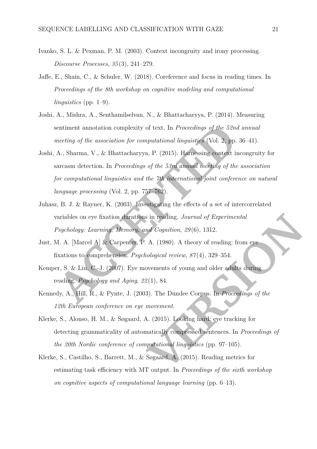- <span id="page-21-6"></span>Ivanko, S. L. & Pexman, P. M. (2003). Context incongruity and irony processing. *Discourse Processes*, *35* (3), 241–279.
- <span id="page-21-8"></span>Jaffe, E., Shain, C., & Schuler, W. (2018). Coreference and focus in reading times. In *Proceedings of the 8th workshop on cognitive modeling and computational linguistics* (pp. 1–9).
- <span id="page-21-9"></span>Joshi, A., Mishra, A., Senthamilselvan, N., & Bhattacharyya, P. (2014). Measuring sentiment annotation complexity of text. In *Proceedings of the 52nd annual meeting of the association for computational linguistics* (Vol. 2, pp. 36–41).
- <span id="page-21-7"></span>entiment annotation complexity of text. In *Proceedings of the 52ne*<br>neeting of the association for computational linguistics (Vol. 2, pp.<br>A., Sharma, V., & Bhattacharyya, P. (2015). Harnessing context in<br>arcasm detection. Joshi, A., Sharma, V., & Bhattacharyya, P. (2015). Harnessing context incongruity for sarcasm detection. In *Proceedings of the 53rd annual meeting of the association for computational linguistics and the 7th international joint conference on natural language processing* (Vol. 2, pp. 757–762).
- <span id="page-21-1"></span>Juhasz, B. J. & Rayner, K. (2003). Investigating the effects of a set of intercorrelated variables on eye fixation durations in reading. *Journal of Experimental Psychology: Learning, Memory, and Cognition*, *29* (6), 1312.
- <span id="page-21-2"></span>Just, M. A. [Marcel A] & Carpenter, P. A. (1980). A theory of reading: from eye fixations to comprehension. *Psychological review*, *87* (4), 329–354.
- <span id="page-21-0"></span>Kemper, S. & Liu, C.-J. (2007). Eye movements of young and older adults during reading. *Psychology and Aging*, *22* (1), 84.
- <span id="page-21-5"></span><span id="page-21-3"></span>Kennedy, A., Hill, R., & Pynte, J. (2003). The Dundee Corpus. In *Proceedings of the 12th European conference on eye movement*.
- is in reading. Journal of Experimental<br>
and Cognition, 29(6), 1312.<br>
A. (1980). A theory of reading: from eye<br>
nological review, 87(4), 329–354.<br>
Sovements of young and older adults during<br>
2(1), 84.<br>
3). The Dundee Corpus Klerke, S., Alonso, H. M., & Søgaard, A. (2015). Looking hard: eye tracking for detecting grammaticality of automatically compressed sentences. In *Proceedings of the 20th Nordic conference of computational linguistics* (pp. 97–105).
- <span id="page-21-4"></span>Klerke, S., Castilho, S., Barrett, M., & Søgaard, A. (2015). Reading metrics for estimating task efficiency with MT output. In *Proceedings of the sixth workshop on cognitive aspects of computational language learning* (pp. 6–13).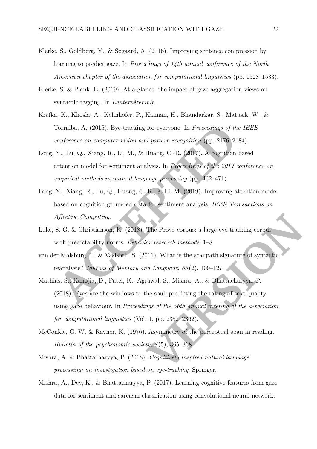- <span id="page-22-3"></span>Klerke, S., Goldberg, Y., & Søgaard, A. (2016). Improving sentence compression by learning to predict gaze. In *Proceedings of 14th annual conference of the North American chapter of the association for computational linguistics* (pp. 1528–1533).
- <span id="page-22-5"></span>Klerke, S. & Plank, B. (2019). At a glance: the impact of gaze aggregation views on syntactic tagging. In *Lantern@emnlp*.
- <span id="page-22-9"></span>Krafka, K., Khosla, A., Kellnhofer, P., Kannan, H., Bhandarkar, S., Matusik, W., & Torralba, A. (2016). Eye tracking for everyone. In *Proceedings of the IEEE conference on computer vision and pattern recognition* (pp. 2176–2184).
- <span id="page-22-7"></span>Long, Y., Lu, Q., Xiang, R., Li, M., & Huang, C.-R. (2017). A cognition based attention model for sentiment analysis. In *Proceedings of the 2017 conference on empirical methods in natural language processing* (pp. 462–471).
- <span id="page-22-8"></span>Long, Y., Xiang, R., Lu, Q., Huang, C.-R., & Li, M. (2019). Improving attention model based on cognition grounded data for sentiment analysis. *IEEE Transactions on Affective Computing*.
- <span id="page-22-10"></span>Luke, S. G. & Christianson, K. (2018). The Provo corpus: a large eye-tracking corpus with predictability norms. *Behavior research methods*, 1–8.
- <span id="page-22-4"></span><span id="page-22-2"></span>von der Malsburg, T. & Vasishth, S. (2011). What is the scanpath signature of syntactic reanalysis? *Journal of Memory and Language* , *65* (2), 109–127.
- Fortalba, A. (2016). Eye tracking for everyone. In *Proceedings of the IEEE*<br> *Anderence on computer vision and pattern recognition* (pp. 2176-2184).<br>
Y., Lu, Q., Xiang, R., Li, M., & Huang, C.-R. (2017). A cognition based Mathias, S., Kanojia, D., Patel, K., Agrawal, S., Mishra, A., & Bhattacharyya, P. (2018). Eyes are the windows to the soul: predicting the rating of text quality using gaze behaviour. In *Proceedings of the 56th annual meeting of the association for computational linguistics* (Vol. 1, pp. 2352–2362).
- <span id="page-22-1"></span>McConkie, G. W. & Rayner, K. (1976). Asymmetry of the perceptual span in reading. *Bulletin of the psychonomic society* , *8* (5), 365–368.
- <span id="page-22-0"></span>Mishra, A. & Bhattacharyya, P. (2018). *Cognitively inspired natural language processing: an investigation based on eye-tracking*. Springer.
- <span id="page-22-6"></span>Mishra, A., Dey, K., & Bhattacharyya, P. (2017). Learning cognitive features from gaze data for sentiment and sarcasm classification using convolutional neural network.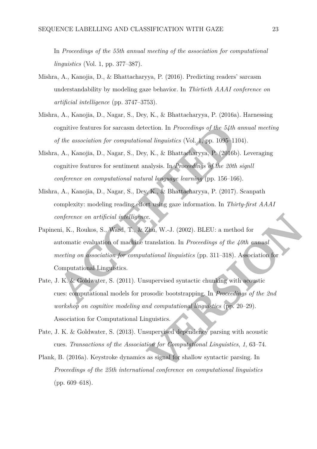In *Proceedings of the 55th annual meeting of the association for computational linguistics* (Vol. 1, pp. 377–387).

- <span id="page-23-2"></span>Mishra, A., Kanojia, D., & Bhattacharyya, P. (2016). Predicting readers' sarcasm understandability by modeling gaze behavior. In *Thirtieth AAAI conference on artificial intelligence* (pp. 3747–3753).
- <span id="page-23-3"></span>Mishra, A., Kanojia, D., Nagar, S., Dey, K., & Bhattacharyya, P. (2016a). Harnessing cognitive features for sarcasm detection. In *Proceedings of the 54th annual meeting of the association for computational linguistics* (Vol. 1, pp. 1095–1104).
- <span id="page-23-4"></span>Mishra, A., Kanojia, D., Nagar, S., Dey, K., & Bhattacharyya, P. (2016b). Leveraging cognitive features for sentiment analysis. In *Proceedings of the 20th signll conference on computational natural language learning* (pp. 156–166).
- <span id="page-23-1"></span>Mishra, A., Kanojia, D., Nagar, S., Dey, K., & Bhattacharyya, P. (2017). Scanpath complexity: modeling reading effort using gaze information. In *Thirty-first AAAI conference on artificial intelligence*.
- cognitive features for sarcasm detection. In *Proceedings of the 54th*<br>of the association for computational linguistics (Vol. 1, pp. 1095–11<br>i, A., Kanojia, D., Nagar, S., Dey, K., & Bhattacharyya, P. (2016b<br>cognitive feat Papineni, K., Roukos, S., Ward, T., & Zhu, W.-J. (2002). BLEU: a method for automatic evaluation of machine translation. In *Proceedings of the 40th annual meeting on association for computational linguistics* (pp. 311–318). Association for Computational Linguistics.
- <span id="page-23-0"></span>Example 12.1 (2002). BLEU: a method for<br>
12.1 (2002). BLEU: a method for<br>
12.1 (2002). BLEU: a method for<br>
12.1 (4) annual<br>
12.1 (4) annual<br>
12.1 (4) annual<br>
12.1 (4) annual<br>
12.1 applement of the 2nd<br>
12.1 and computation Pate, J. K. & Goldwater, S. (2011). Unsupervised syntactic chunking with acoustic cues: computational models for prosodic bootstrapping. In *Proceedings of the 2nd workshop on cognitive modeling and computational linguistics* (pp. 20–29). Association for Computational Linguistics.
- <span id="page-23-7"></span><span id="page-23-6"></span>Pate, J. K. & Goldwater, S. (2013). Unsupervised dependency parsing with acoustic cues. *Transactions of the Association for Computational Linguistics*, *1*, 63–74.
- <span id="page-23-5"></span>Plank, B. (2016a). Keystroke dynamics as signal for shallow syntactic parsing. In *Proceedings of the 25th international conference on computational linguistics* (pp. 609–618).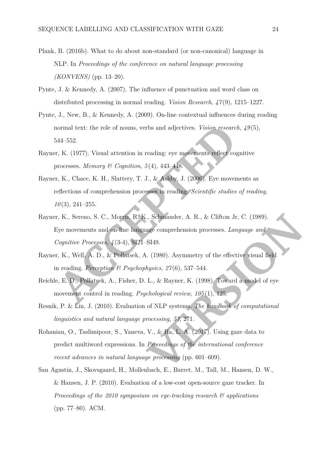- <span id="page-24-1"></span>Plank, B. (2016b). What to do about non-standard (or non-canonical) language in NLP. In *Proceedings of the conference on natural language processing (KONVENS)* (pp. 13–20).
- <span id="page-24-6"></span>Pynte, J. & Kennedy, A. (2007). The influence of punctuation and word class on distributed processing in normal reading. *Vision Research* , *47* (9), 1215–1227.
- <span id="page-24-7"></span>Pynte, J., New, B., & Kennedy, A. (2009). On-line contextual influences during reading normal text: the role of nouns, verbs and adjectives. *Vision research*,  $49(5)$ , 544–552.
- <span id="page-24-3"></span>Rayner, K. (1977). Visual attention in reading: eye movements reflect cognitive processes. *Memory & Cognition* , *5* (4), 443–448.
- <span id="page-24-4"></span><span id="page-24-0"></span>Rayner, K., Chace, K. H., Slattery, T. J., & Ashby, J. (2006). Eye movements as reflections of comprehension processes in reading. *Scientific studies of reading* , *10* (3), 241–255.
- normal text: the role of nonns, verbs and adjectives. *Vision research*,  $49(5)$ ,<br>
AAC 552.<br>
ACCEPTED VISUAL attention in reading: eye movements reflex cognitive<br>
r, K., (1977). Visual attention in reading: eye movements r Rayner, K., Sereno, S. C., Morris, R. K., Schmauder, A. R., & Clifton Jr, C. (1989). Eye movements and on-line language comprehension processes. *Language and Cognitive Processes* , *4* (3-4), SI21–SI49.
- <span id="page-24-2"></span>Rayner, K., Well, A. D., & Pollatsek, A. (1980). Asymmetry of the effective visual field in reading. *Perception & Psychophysics* , *27* (6), 537–544.
- <span id="page-24-9"></span>Reichle, E. D., Pollatsek, A., Fisher, D. L., & Rayner, K. (1998). Toward a model of eye movement control in reading. *Psychological review* , *105* (1), 125.
- <span id="page-24-5"></span>Resnik, P. & Lin, J. (2010). Evaluation of NLP systems. *The handbook of computational linguistics and natural language processing* , *57*, 271.
- <span id="page-24-8"></span>Rohanian, O., Taslimipoor, S., Yaneva, V., & Ha, L. A. (2017). Using gaze data to predict multiword expressions. In *Proceedings of the international conference recent advances in natural language processing* (pp. 601–609).
- <span id="page-24-10"></span>San Agustin, J., Skovsgaard, H., Mollenbach, E., Barret, M., Tall, M., Hansen, D. W., & Hansen, J. P. (2010). Evaluation of a low-cost open-source gaze tracker. In *Proceedings of the 2010 symposium on eye-tracking research & applications* (pp. 77–80). ACM.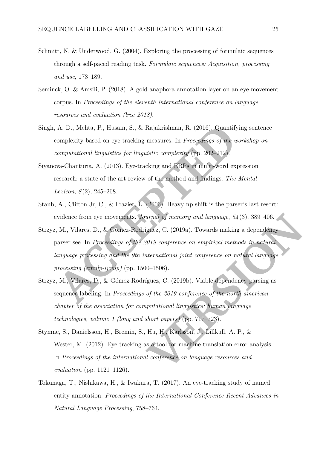- <span id="page-25-7"></span>Schmitt, N. & Underwood, G. (2004). Exploring the processing of formulaic sequences through a self-paced reading task. *Formulaic sequences: Acquisition, processing and use*, 173–189.
- <span id="page-25-8"></span>Seminck, O. & Amsili, P. (2018). A gold anaphora annotation layer on an eye movement corpus. In *Proceedings of the eleventh international conference on language resources and evaluation (lrec 2018)*.
- Singh, A. D., Mehta, P., Husain, S., & Rajakrishnan, R. (2016). Quantifying sentence complexity based on eye-tracking measures. In *Proceedings of the workshop on computational linguistics for linguistic complexity* (pp. 202–212).
- <span id="page-25-6"></span>Siyanova-Chanturia, A. (2013). Eye-tracking and ERPs in multi-word expression research: a state-of-the-art review of the method and findings. *The Mental Lexicon* , *8* (2), 245–268.
- <span id="page-25-2"></span>Staub, A., Clifton Jr, C., & Frazier, L. (2006). Heavy np shift is the parser's last resort: evidence from eye movements. *Journal of memory and language* , *54* (3), 389–406.
- <span id="page-25-4"></span><span id="page-25-3"></span>Strzyz, M., Vilares, D., & Gómez-Rodríguez, C. (2019a). Towards making a dependency parser see. In *Proceedings of the 2019 conference on empirical methods in natural language processing and the 9th international joint conference on natural language processing (emnlp-ijcnlp)* (pp. 1500–1506).
- <span id="page-25-0"></span>A. D., Mehta, P., Husain, S., & Rajakrishnan, R. (2016). Quantifying sentence<br>omplexity based on eye-tracking measures. In *Procedings of the workshop on*<br>*computational inquisities for inquisitic complexity (pp. 202-212)* Strzyz, M., Vilares, D., & Gómez-Rodríguez, C. (2019b). Viable dependency parsing as sequence labeling. In *Proceedings of the 2019 conference of the north american chapter of the association for computational linguistics: human language technologies, volume 1 (long and short papers)* (pp. 717–723).
- <span id="page-25-1"></span>Stymne, S., Danielsson, H., Bremin, S., Hu, H., Karlsson, J., Lillkull, A. P., & Wester, M. (2012). Eye tracking as a tool for machine translation error analysis. In *Proceedings of the international conference on language resources and evaluation* (pp. 1121–1126).
- <span id="page-25-5"></span>Tokunaga, T., Nishikawa, H., & Iwakura, T. (2017). An eye-tracking study of named entity annotation. *Proceedings of the International Conference Recent Advances in Natural Language Processing*, 758–764.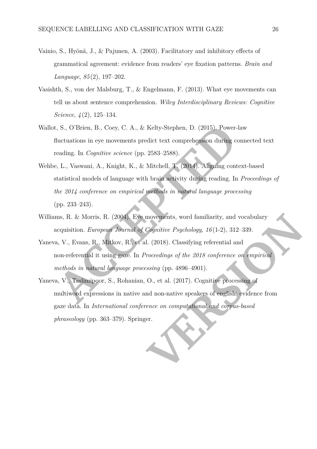- <span id="page-26-3"></span>Vainio, S., Hyönä, J., & Pajunen, A. (2003). Facilitatory and inhibitory effects of grammatical agreement: evidence from readers' eye fixation patterns. *Brain and Language*, *85* (2), 197–202.
- <span id="page-26-1"></span>Vasishth, S., von der Malsburg, T., & Engelmann, F. (2013). What eye movements can tell us about sentence comprehension. *Wiley Interdisciplinary Reviews: Cognitive Science*, *4* (2), 125–134.
- <span id="page-26-6"></span>Wallot, S., O'Brien, B., Coey, C. A., & Kelty-Stephen, D. (2015). Power-law fluctuations in eye movements predict text comprehension during connected text reading. In *Cognitive science* (pp. 2583–2588).
- <span id="page-26-2"></span>i, S., O'Brien, B., Coey, C. A., & Kelty-Stephen, D. (2015). Power-<br>
ductuations in eye movements predict text comprehension during c<br>
eading. In *Cognitive science* (pp. 2583-2588).<br>
P. L., Vaswani, A., Knight, K., & Mitc Wehbe, L., Vaswani, A., Knight, K., & Mitchell, T. (2014). Aligning context-based statistical models of language with brain activity during reading. In *Proceedings of the 2014 conference on empirical methods in natural language processing* (pp. 233–243).
- Williams, R. & Morris, R. (2004). Eye movements, word familiarity, and vocabulary acquisition. *European Journal of Cognitive Psychology*, *16* (1-2), 312–339.
- <span id="page-26-5"></span><span id="page-26-4"></span>Yaneva, V., Evans, R., Mitkov, R., et al. (2018). Classifying referential and non-referential it using gaze. In *Proceedings of the 2018 conference on empirical methods in natural language processing* (pp. 4896–4901).
- <span id="page-26-0"></span>movements, word familiarity, and vocabulary<br>
Cognitive Psychology, 16(1-2), 312–339.<br>
1. (2018). Classifying referential and<br>
Proceedings of the 2018 conference on empirical<br>
sissing (pp. 4896–4901).<br>
O., et al. (2017). Co Yaneva, V., Taslimipoor, S., Rohanian, O., et al. (2017). Cognitive processing of multiword expressions in native and non-native speakers of english: evidence from gaze data. In *International conference on computational and corpus-based phraseology* (pp. 363–379). Springer.